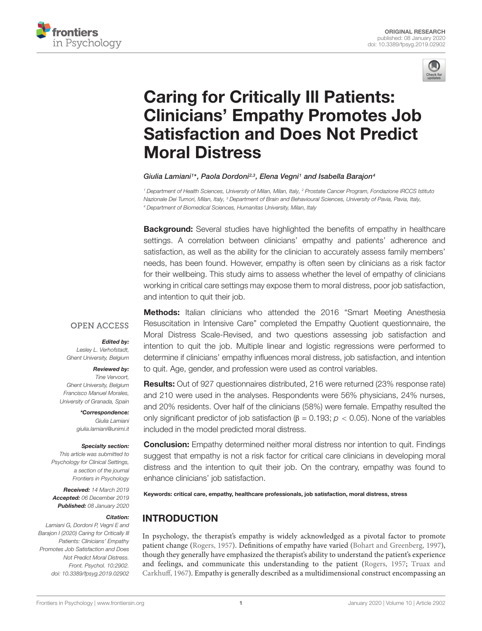



# Caring for Critically Ill Patients: [Clinicians' Empathy Promotes Job](https://www.frontiersin.org/articles/10.3389/fpsyg.2019.02902/full) Satisfaction and Does Not Predict Moral Distress

[Giulia Lamiani](http://loop.frontiersin.org/people/388033/overview)1\*, [Paola Dordoni](http://loop.frontiersin.org/people/453204/overview)2,3, [Elena Vegni](http://loop.frontiersin.org/people/265731/overview)1 and [Isabella Barajon](http://loop.frontiersin.org/people/219222/overview)4

<sup>1</sup> Department of Health Sciences, University of Milan, Milan, Italy, <sup>2</sup> Prostate Cancer Program, Fondazione IRCCS Istituto Nazionale Dei Tumori, Milan, Italy, <sup>3</sup> Department of Brain and Behavioural Sciences, University of Pavia, Pavia, Italy, <sup>4</sup> Department of Biomedical Sciences, Humanitas University, Milan, Italy

**Background:** Several studies have highlighted the benefits of empathy in healthcare settings. A correlation between clinicians' empathy and patients' adherence and satisfaction, as well as the ability for the clinician to accurately assess family members' needs, has been found. However, empathy is often seen by clinicians as a risk factor for their wellbeing. This study aims to assess whether the level of empathy of clinicians working in critical care settings may expose them to moral distress, poor job satisfaction, and intention to quit their job.

#### **OPEN ACCESS**

#### Edited by:

Lesley L. Verhofstadt, Ghent University, Belgium

#### Reviewed by:

Tine Vervoort, Ghent University, Belgium Francisco Manuel Morales, University of Granada, Spain

> \*Correspondence: Giulia Lamiani giulia.lamiani@unimi.it

#### Specialty section:

This article was submitted to Psychology for Clinical Settings, a section of the journal Frontiers in Psychology

Received: 14 March 2019 Accepted: 06 December 2019 Published: 08 January 2020

#### Citation:

Lamiani G, Dordoni P, Vegni E and Barajon I (2020) Caring for Critically Ill Patients: Clinicians' Empathy Promotes Job Satisfaction and Does Not Predict Moral Distress. Front. Psychol. 10:2902. doi: [10.3389/fpsyg.2019.02902](https://doi.org/10.3389/fpsyg.2019.02902)

**Methods:** Italian clinicians who attended the 2016 "Smart Meeting Anesthesia Resuscitation in Intensive Care" completed the Empathy Quotient questionnaire, the Moral Distress Scale-Revised, and two questions assessing job satisfaction and intention to quit the job. Multiple linear and logistic regressions were performed to determine if clinicians' empathy influences moral distress, job satisfaction, and intention to quit. Age, gender, and profession were used as control variables.

Results: Out of 927 questionnaires distributed, 216 were returned (23% response rate) and 210 were used in the analyses. Respondents were 56% physicians, 24% nurses, and 20% residents. Over half of the clinicians (58%) were female. Empathy resulted the only significant predictor of job satisfaction (β = 0.193;  $p$  < 0.05). None of the variables included in the model predicted moral distress.

**Conclusion:** Empathy determined neither moral distress nor intention to quit. Findings suggest that empathy is not a risk factor for critical care clinicians in developing moral distress and the intention to quit their job. On the contrary, empathy was found to enhance clinicians' job satisfaction.

Keywords: critical care, empathy, healthcare professionals, job satisfaction, moral distress, stress

# INTRODUCTION

In psychology, the therapist's empathy is widely acknowledged as a pivotal factor to promote patient change [\(Rogers,](#page-7-0) [1957\)](#page-7-0). Definitions of empathy have varied [\(Bohart and Greenberg,](#page-6-0) [1997\)](#page-6-0), though they generally have emphasized the therapist's ability to understand the patient's experience and feelings, and communicate this understanding to the patient [\(Rogers,](#page-7-0) [1957;](#page-7-0) [Truax and](#page-7-1) [Carkhuff,](#page-7-1) [1967\)](#page-7-1). Empathy is generally described as a multidimensional construct encompassing an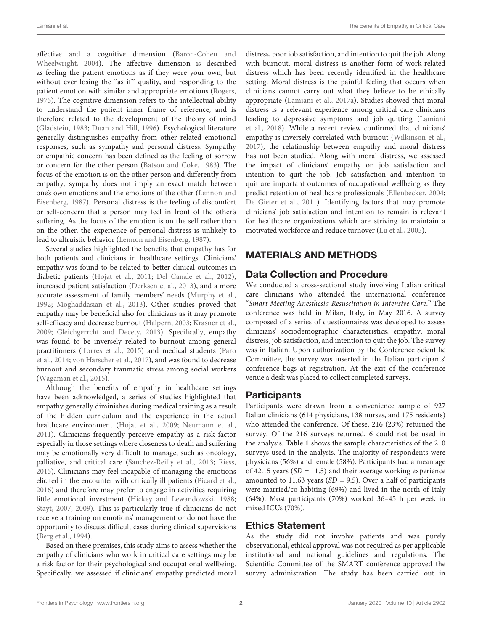affective and a cognitive dimension [\(Baron-Cohen and](#page-5-0) [Wheelwright,](#page-5-0) [2004\)](#page-5-0). The affective dimension is described as feeling the patient emotions as if they were your own, but without ever losing the "as if" quality, and responding to the patient emotion with similar and appropriate emotions [\(Rogers,](#page-7-2) [1975\)](#page-7-2). The cognitive dimension refers to the intellectual ability to understand the patient inner frame of reference, and is therefore related to the development of the theory of mind [\(Gladstein,](#page-6-1) [1983;](#page-6-1) [Duan and Hill,](#page-6-2) [1996\)](#page-6-2). Psychological literature generally distinguishes empathy from other related emotional responses, such as sympathy and personal distress. Sympathy or empathic concern has been defined as the feeling of sorrow or concern for the other person [\(Batson and Coke,](#page-5-1) [1983\)](#page-5-1). The focus of the emotion is on the other person and differently from empathy, sympathy does not imply an exact match between one's own emotions and the emotions of the other [\(Lennon and](#page-6-3) [Eisenberg,](#page-6-3) [1987\)](#page-6-3). Personal distress is the feeling of discomfort or self-concern that a person may feel in front of the other's suffering. As the focus of the emotion is on the self rather than on the other, the experience of personal distress is unlikely to lead to altruistic behavior [\(Lennon and Eisenberg,](#page-6-3) [1987\)](#page-6-3).

Several studies highlighted the benefits that empathy has for both patients and clinicians in healthcare settings. Clinicians' empathy was found to be related to better clinical outcomes in diabetic patients [\(Hojat et al.,](#page-6-4) [2011;](#page-6-4) [Del Canale et al.,](#page-6-5) [2012\)](#page-6-5), increased patient satisfaction [\(Derksen et al.,](#page-6-6) [2013\)](#page-6-6), and a more accurate assessment of family members' needs [\(Murphy et al.,](#page-6-7) [1992;](#page-6-7) [Moghaddasian et al.,](#page-6-8) [2013\)](#page-6-8). Other studies proved that empathy may be beneficial also for clinicians as it may promote self-efficacy and decrease burnout [\(Halpern,](#page-6-9) [2003;](#page-6-9) [Krasner et al.,](#page-6-10) [2009;](#page-6-10) [Gleichgerrcht and Decety,](#page-6-11) [2013\)](#page-6-11). Specifically, empathy was found to be inversely related to burnout among general practitioners [\(Torres et al.,](#page-7-3) [2015\)](#page-7-3) and medical students [\(Paro](#page-6-12) [et al.,](#page-6-12) [2014;](#page-6-12) [von Harscher et al.,](#page-7-4) [2017\)](#page-7-4), and was found to decrease burnout and secondary traumatic stress among social workers [\(Wagaman et al.,](#page-7-5) [2015\)](#page-7-5).

Although the benefits of empathy in healthcare settings have been acknowledged, a series of studies highlighted that empathy generally diminishes during medical training as a result of the hidden curriculum and the experience in the actual healthcare environment [\(Hojat et al.,](#page-6-13) [2009;](#page-6-13) [Neumann et al.,](#page-6-14) [2011\)](#page-6-14). Clinicians frequently perceive empathy as a risk factor especially in those settings where closeness to death and suffering may be emotionally very difficult to manage, such as oncology, palliative, and critical care [\(Sanchez-Reilly et al.,](#page-7-6) [2013;](#page-7-6) [Riess,](#page-6-15) [2015\)](#page-6-15). Clinicians may feel incapable of managing the emotions elicited in the encounter with critically ill patients [\(Picard et al.,](#page-6-16) [2016\)](#page-6-16) and therefore may prefer to engage in activities requiring little emotional investment [\(Hickey and Lewandowski,](#page-6-17) [1988;](#page-6-17) [Stayt,](#page-7-7) [2007,](#page-7-7) [2009\)](#page-7-8). This is particularly true if clinicians do not receive a training on emotions' management or do not have the opportunity to discuss difficult cases during clinical supervisions [\(Berg et al.,](#page-5-2) [1994\)](#page-5-2).

Based on these premises, this study aims to assess whether the empathy of clinicians who work in critical care settings may be a risk factor for their psychological and occupational wellbeing. Specifically, we assessed if clinicians' empathy predicted moral

distress, poor job satisfaction, and intention to quit the job. Along with burnout, moral distress is another form of work-related distress which has been recently identified in the healthcare setting. Moral distress is the painful feeling that occurs when clinicians cannot carry out what they believe to be ethically appropriate [\(Lamiani et al.,](#page-6-18) [2017a\)](#page-6-18). Studies showed that moral distress is a relevant experience among critical care clinicians leading to depressive symptoms and job quitting [\(Lamiani](#page-6-19) [et al.,](#page-6-19) [2018\)](#page-6-19). While a recent review confirmed that clinicians' empathy is inversely correlated with burnout [\(Wilkinson et al.,](#page-7-9) [2017\)](#page-7-9), the relationship between empathy and moral distress has not been studied. Along with moral distress, we assessed the impact of clinicians' empathy on job satisfaction and intention to quit the job. Job satisfaction and intention to quit are important outcomes of occupational wellbeing as they predict retention of healthcare professionals [\(Ellenbecker,](#page-6-20) [2004;](#page-6-20) [De Gieter et al.,](#page-6-21) [2011\)](#page-6-21). Identifying factors that may promote clinicians' job satisfaction and intention to remain is relevant for healthcare organizations which are striving to maintain a motivated workforce and reduce turnover [\(Lu et al.,](#page-6-22) [2005\)](#page-6-22).

# MATERIALS AND METHODS

### Data Collection and Procedure

We conducted a cross-sectional study involving Italian critical care clinicians who attended the international conference "Smart Meeting Anesthesia Resuscitation in Intensive Care." The conference was held in Milan, Italy, in May 2016. A survey composed of a series of questionnaires was developed to assess clinicians' sociodemographic characteristics, empathy, moral distress, job satisfaction, and intention to quit the job. The survey was in Italian. Upon authorization by the Conference Scientific Committee, the survey was inserted in the Italian participants' conference bags at registration. At the exit of the conference venue a desk was placed to collect completed surveys.

### **Participants**

Participants were drawn from a convenience sample of 927 Italian clinicians (614 physicians, 138 nurses, and 175 residents) who attended the conference. Of these, 216 (23%) returned the survey. Of the 216 surveys returned, 6 could not be used in the analysis. **[Table 1](#page-2-0)** shows the sample characteristics of the 210 surveys used in the analysis. The majority of respondents were physicians (56%) and female (58%). Participants had a mean age of 42.15 years  $(SD = 11.5)$  and their average working experience amounted to 11.63 years ( $SD = 9.5$ ). Over a half of participants were married/co-habiting (69%) and lived in the north of Italy (64%). Most participants (70%) worked 36–45 h per week in mixed ICUs (70%).

### Ethics Statement

As the study did not involve patients and was purely observational, ethical approval was not required as per applicable institutional and national guidelines and regulations. The Scientific Committee of the SMART conference approved the survey administration. The study has been carried out in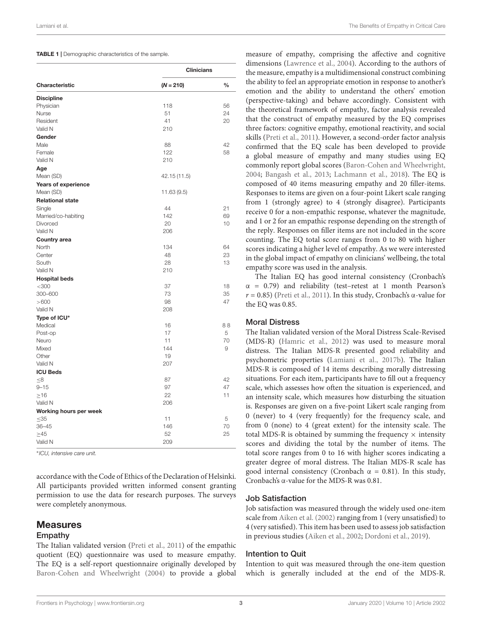<span id="page-2-0"></span>

|  |  | <b>TABLE 1</b>   Demographic characteristics of the sample. |  |  |
|--|--|-------------------------------------------------------------|--|--|
|--|--|-------------------------------------------------------------|--|--|

|                         | <b>Clinicians</b> |      |  |  |  |
|-------------------------|-------------------|------|--|--|--|
| Characteristic          | $(N = 210)$       | $\%$ |  |  |  |
| <b>Discipline</b>       |                   |      |  |  |  |
| Physician               | 118               | 56   |  |  |  |
| Nurse                   | 51                | 24   |  |  |  |
| Resident                | 41                | 20   |  |  |  |
| Valid N                 | 210               |      |  |  |  |
| Gender                  |                   |      |  |  |  |
| Male                    | 88                | 42   |  |  |  |
| Female                  | 122               | 58   |  |  |  |
| Valid N                 | 210               |      |  |  |  |
| Age                     |                   |      |  |  |  |
| Mean (SD)               | 42.15 (11.5)      |      |  |  |  |
| Years of experience     |                   |      |  |  |  |
| Mean (SD)               | 11.63 (9.5)       |      |  |  |  |
| <b>Relational state</b> |                   |      |  |  |  |
| Single                  | 44                | 21   |  |  |  |
| Married/co-habiting     | 142               | 69   |  |  |  |
| Divorced                | 20                | 10   |  |  |  |
| Valid N                 | 206               |      |  |  |  |
| <b>Country area</b>     |                   |      |  |  |  |
| North                   | 134               | 64   |  |  |  |
| Center                  | 48                | 23   |  |  |  |
| South                   | 28                | 13   |  |  |  |
| Valid N                 | 210               |      |  |  |  |
| <b>Hospital beds</b>    |                   |      |  |  |  |
| $<$ 300                 | 37                | 18   |  |  |  |
| 300-600                 | 73                | 35   |  |  |  |
| >600                    | 98                | 47   |  |  |  |
| Valid N                 | 208               |      |  |  |  |
| Type of ICU*            |                   |      |  |  |  |
| Medical                 | 16                | 88   |  |  |  |
| Post-op                 | 17                | 5    |  |  |  |
| Neuro                   | 11                | 70   |  |  |  |
| Mixed                   | 144               | 9    |  |  |  |
| Other                   | 19                |      |  |  |  |
| Valid N                 | 207               |      |  |  |  |
| <b>ICU Beds</b>         |                   |      |  |  |  |
| $\leq 8$                | 87                | 42   |  |  |  |
| $9 - 15$                | 97                | 47   |  |  |  |
| $\geq$ 16               | 22                | 11   |  |  |  |
| Valid N                 | 206               |      |  |  |  |
| Working hours per week  |                   |      |  |  |  |
| $<$ 35                  | 11                | 5    |  |  |  |
| $36 - 45$               | 146               | 70   |  |  |  |
| $\geq 45$               | 52                | 25   |  |  |  |
| Valid N                 | 209               |      |  |  |  |
|                         |                   |      |  |  |  |

∗ ICU, intensive care unit.

accordance with the Code of Ethics of the Declaration of Helsinki. All participants provided written informed consent granting permission to use the data for research purposes. The surveys were completely anonymous.

### Measures

#### Empathy

The Italian validated version [\(Preti et al.,](#page-6-23) [2011\)](#page-6-23) of the empathic quotient (EQ) questionnaire was used to measure empathy. The EQ is a self-report questionnaire originally developed by [Baron-Cohen and Wheelwright](#page-5-0) [\(2004\)](#page-5-0) to provide a global

measure of empathy, comprising the affective and cognitive dimensions [\(Lawrence et al.,](#page-6-24) [2004\)](#page-6-24). According to the authors of the measure, empathy is a multidimensional construct combining the ability to feel an appropriate emotion in response to another's emotion and the ability to understand the others' emotion (perspective-taking) and behave accordingly. Consistent with the theoretical framework of empathy, factor analysis revealed that the construct of empathy measured by the EQ comprises three factors: cognitive empathy, emotional reactivity, and social skills [\(Preti et al.,](#page-6-23) [2011\)](#page-6-23). However, a second-order factor analysis confirmed that the EQ scale has been developed to provide a global measure of empathy and many studies using EQ commonly report global scores [\(Baron-Cohen and Wheelwright,](#page-5-0) [2004;](#page-5-0) [Bangash et al.,](#page-5-3) [2013;](#page-5-3) [Lachmann et al.,](#page-6-25) [2018\)](#page-6-25). The EQ is composed of 40 items measuring empathy and 20 filler-items. Responses to items are given on a four-point Likert scale ranging from 1 (strongly agree) to 4 (strongly disagree). Participants receive 0 for a non-empathic response, whatever the magnitude, and 1 or 2 for an empathic response depending on the strength of the reply. Responses on filler items are not included in the score counting. The EQ total score ranges from 0 to 80 with higher scores indicating a higher level of empathy. As we were interested in the global impact of empathy on clinicians' wellbeing, the total empathy score was used in the analysis.

The Italian EQ has good internal consistency (Cronbach's  $\alpha$  = 0.79) and reliability (test–retest at 1 month Pearson's  $r = 0.85$ ) [\(Preti et al.,](#page-6-23) [2011\)](#page-6-23). In this study, Cronbach's α-value for the EQ was 0.85.

#### Moral Distress

The Italian validated version of the Moral Distress Scale-Revised (MDS-R) [\(Hamric et al.,](#page-6-26) [2012\)](#page-6-26) was used to measure moral distress. The Italian MDS-R presented good reliability and psychometric properties [\(Lamiani et al.,](#page-6-27) [2017b\)](#page-6-27). The Italian MDS-R is composed of 14 items describing morally distressing situations. For each item, participants have to fill out a frequency scale, which assesses how often the situation is experienced, and an intensity scale, which measures how disturbing the situation is. Responses are given on a five-point Likert scale ranging from 0 (never) to 4 (very frequently) for the frequency scale, and from 0 (none) to 4 (great extent) for the intensity scale. The total MDS-R is obtained by summing the frequency  $\times$  intensity scores and dividing the total by the number of items. The total score ranges from 0 to 16 with higher scores indicating a greater degree of moral distress. The Italian MDS-R scale has good internal consistency (Cronbach  $\alpha = 0.81$ ). In this study, Cronbach's α-value for the MDS-R was 0.81.

#### Job Satisfaction

Job satisfaction was measured through the widely used one-item scale from [Aiken et al.](#page-5-4) [\(2002\)](#page-5-4) ranging from 1 (very unsatisfied) to 4 (very satisfied). This item has been used to assess job satisfaction in previous studies [\(Aiken et al.,](#page-5-4) [2002;](#page-5-4) [Dordoni et al.,](#page-6-28) [2019\)](#page-6-28).

#### Intention to Quit

Intention to quit was measured through the one-item question which is generally included at the end of the MDS-R.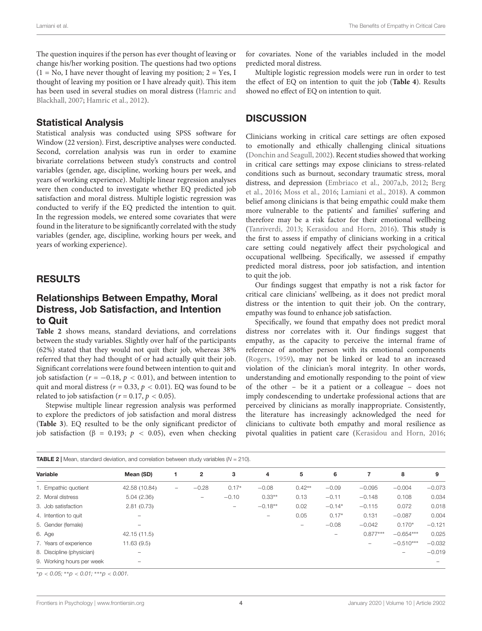The question inquires if the person has ever thought of leaving or change his/her working position. The questions had two options  $(1 = No, I)$  have never thought of leaving my position;  $2 = Yes, I$ thought of leaving my position or I have already quit). This item has been used in several studies on moral distress [\(Hamric and](#page-6-29) [Blackhall,](#page-6-29) [2007;](#page-6-29) [Hamric et al.,](#page-6-26) [2012\)](#page-6-26).

### Statistical Analysis

Statistical analysis was conducted using SPSS software for Window (22 version). First, descriptive analyses were conducted. Second, correlation analysis was run in order to examine bivariate correlations between study's constructs and control variables (gender, age, discipline, working hours per week, and years of working experience). Multiple linear regression analyses were then conducted to investigate whether EQ predicted job satisfaction and moral distress. Multiple logistic regression was conducted to verify if the EQ predicted the intention to quit. In the regression models, we entered some covariates that were found in the literature to be significantly correlated with the study variables (gender, age, discipline, working hours per week, and years of working experience).

### RESULTS

### Relationships Between Empathy, Moral Distress, Job Satisfaction, and Intention to Quit

**[Table 2](#page-3-0)** shows means, standard deviations, and correlations between the study variables. Slightly over half of the participants (62%) stated that they would not quit their job, whereas 38% referred that they had thought of or had actually quit their job. Significant correlations were found between intention to quit and job satisfaction ( $r = -0.18$ ,  $p < 0.01$ ), and between intention to quit and moral distress ( $r = 0.33$ ,  $p < 0.01$ ). EQ was found to be related to job satisfaction ( $r = 0.17$ ,  $p < 0.05$ ).

Stepwise multiple linear regression analysis was performed to explore the predictors of job satisfaction and moral distress (**[Table 3](#page-4-0)**). EQ resulted to be the only significant predictor of job satisfaction (β = 0.193;  $p$  < 0.05), even when checking for covariates. None of the variables included in the model predicted moral distress.

Multiple logistic regression models were run in order to test the effect of EQ on intention to quit the job (**[Table 4](#page-4-1)**). Results showed no effect of EQ on intention to quit.

### **DISCUSSION**

Clinicians working in critical care settings are often exposed to emotionally and ethically challenging clinical situations [\(Donchin and Seagull,](#page-6-30) [2002\)](#page-6-30). Recent studies showed that working in critical care settings may expose clinicians to stress-related conditions such as burnout, secondary traumatic stress, moral distress, and depression [\(Embriaco et al.,](#page-6-31) [2007a](#page-6-31)[,b,](#page-6-32) [2012;](#page-6-33) [Berg](#page-5-5) [et al.,](#page-5-5) [2016;](#page-5-5) [Moss et al.,](#page-6-34) [2016;](#page-6-34) [Lamiani et al.,](#page-6-19) [2018\)](#page-6-19). A common belief among clinicians is that being empathic could make them more vulnerable to the patients' and families' suffering and therefore may be a risk factor for their emotional wellbeing [\(Tanriverdi,](#page-7-10) [2013;](#page-7-10) [Kerasidou and Horn,](#page-6-35) [2016\)](#page-6-35). This study is the first to assess if empathy of clinicians working in a critical care setting could negatively affect their psychological and occupational wellbeing. Specifically, we assessed if empathy predicted moral distress, poor job satisfaction, and intention to quit the job.

Our findings suggest that empathy is not a risk factor for critical care clinicians' wellbeing, as it does not predict moral distress or the intention to quit their job. On the contrary, empathy was found to enhance job satisfaction.

Specifically, we found that empathy does not predict moral distress nor correlates with it. Our findings suggest that empathy, as the capacity to perceive the internal frame of reference of another person with its emotional components [\(Rogers,](#page-7-11) [1959\)](#page-7-11), may not be linked or lead to an increased violation of the clinician's moral integrity. In other words, understanding and emotionally responding to the point of view of the other – be it a patient or a colleague – does not imply condescending to undertake professional actions that are perceived by clinicians as morally inappropriate. Consistently, the literature has increasingly acknowledged the need for clinicians to cultivate both empathy and moral resilience as pivotal qualities in patient care [\(Kerasidou and Horn,](#page-6-35) [2016;](#page-6-35)

<span id="page-3-0"></span>

| <b>TABLE 2</b>   Mean, standard deviation, and correlation between study variables $(N = 210)$ . |               |                   |                   |         |           |                          |          |            |             |          |
|--------------------------------------------------------------------------------------------------|---------------|-------------------|-------------------|---------|-----------|--------------------------|----------|------------|-------------|----------|
| Variable                                                                                         | Mean (SD)     |                   | $\overline{2}$    | 3       | 4         | 5                        | 6        | 7          | 8           | 9        |
| 1. Empathic quotient                                                                             | 42.58 (10.84) | $\qquad \qquad -$ | $-0.28$           | $0.17*$ | $-0.08$   | $0.42**$                 | $-0.09$  | $-0.095$   | $-0.004$    | $-0.073$ |
| 2. Moral distress                                                                                | 5.04(2.36)    |                   | $\qquad \qquad -$ | $-0.10$ | $0.33**$  | 0.13                     | $-0.11$  | $-0.148$   | 0.108       | 0.034    |
| 3. Job satisfaction                                                                              | 2.81(0.73)    |                   |                   | -       | $-0.18**$ | 0.02                     | $-0.14*$ | $-0.115$   | 0.072       | 0.018    |
| 4. Intention to quit                                                                             |               |                   |                   |         | -         | 0.05                     | $0.17*$  | 0.131      | $-0.087$    | 0.004    |
| 5. Gender (female)                                                                               |               |                   |                   |         |           | $\overline{\phantom{m}}$ | $-0.08$  | $-0.042$   | $0.170*$    | $-0.121$ |
| 6. Age                                                                                           | 42.15(11.5)   |                   |                   |         |           |                          |          | $0.877***$ | $-0.654***$ | 0.025    |
| 7. Years of experience                                                                           | 11.63(9.5)    |                   |                   |         |           |                          |          |            | $-0.510***$ | $-0.032$ |
| 8. Discipline (physician)                                                                        |               |                   |                   |         |           |                          |          |            |             | $-0.019$ |
| 9. Working hours per week                                                                        |               |                   |                   |         |           |                          |          |            |             |          |

 ${}^{*}p$  < 0.05;  ${}^{*}p$  < 0.01;  ${}^{*}{}^{*}p$  < 0.001.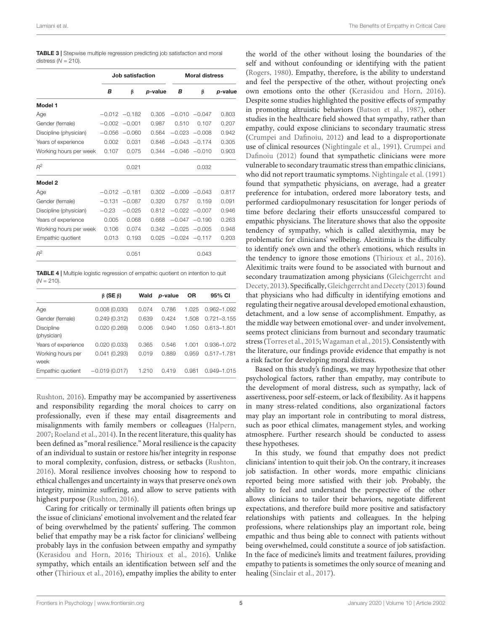<span id="page-4-0"></span>

| <b>TABLE 3</b> Stepwise multiple regression predicting job satisfaction and moral |
|-----------------------------------------------------------------------------------|
| distress $(N = 210)$ .                                                            |

|                        |                  | Job satisfaction |         | <b>Moral distress</b> |                  |         |  |
|------------------------|------------------|------------------|---------|-----------------------|------------------|---------|--|
|                        | B                | β                | p-value | в                     | β                | p-value |  |
| Model 1                |                  |                  |         |                       |                  |         |  |
| Age                    |                  | $-0.012 -0.182$  | 0.305   |                       | $-0.010 - 0.047$ | 0.803   |  |
| Gender (female)        | $-0.002$         | $-0.001$         | 0.987   | 0.510                 | 0.107            | 0.207   |  |
| Discipline (physician) | $-0.056$         | $-0.060$         | 0.564   |                       | $-0.023 -0.008$  | 0.942   |  |
| Years of experience    | 0.002            | 0.031            | 0.846   | $-0.043$              | $-0.174$         | 0.305   |  |
| Working hours per week | 0.107            | 0.075            | 0.344   |                       | $-0.046 - 0.010$ | 0.903   |  |
| $R^2$                  |                  | 0.021            |         |                       | 0.032            |         |  |
| Model 2                |                  |                  |         |                       |                  |         |  |
| Age                    | $-0.012 - 0.181$ |                  | 0.302   |                       | $-0.009 - 0.043$ | 0.817   |  |
| Gender (female)        | $-0.131$         | $-0.087$         | 0.320   | 0.757                 | 0.159            | 0.091   |  |
| Discipline (physician) | $-0.23$          | $-0.025$         | 0.812   | $-0.022$              | $-0.007$         | 0.946   |  |
| Years of experience    | 0.005            | 0.068            | 0.668   |                       | $-0.047 - 0.190$ | 0.263   |  |
| Working hours per week | 0.106            | 0.074            | 0.342   | $-0.025$              | $-0.005$         | 0.948   |  |
| Empathic quotient      | 0.013            | 0.193            | 0.025   |                       | $-0.024 - 0.117$ | 0.203   |  |
| $R^2$                  |                  | 0.051            |         |                       | 0.043            |         |  |

<span id="page-4-1"></span>TABLE 4 | Multiple logistic regression of empathic quotient on intention to quit  $(N = 210)$ .

|                                  | $\beta$ (SE $\beta$ ) | Wald  | p-value | ΟR    | 95% CI          |
|----------------------------------|-----------------------|-------|---------|-------|-----------------|
| Age                              | 0.008(0.030)          | 0.074 | 0.786   | 1.025 | $0.962 - 1.092$ |
| Gender (female)                  | 0.249(0.312)          | 0.639 | 0.424   | 1.508 | $0.721 - 3.155$ |
| <b>Discipline</b><br>(physician) | 0.020(0.269)          | 0.006 | 0.940   | 1.050 | $0.613 - 1.801$ |
| Years of experience              | 0.020(0.033)          | 0.365 | 0.546   | 1.001 | 0.936-1.072     |
| Working hours per<br>week        | 0.041(0.293)          | 0.019 | 0.889   | 0.959 | $0.517 - 1.781$ |
| Empathic quotient                | $-0.019(0.017)$       | 1.210 | 0.419   | 0.981 | $0.949 - 1.015$ |

[Rushton,](#page-7-12) [2016\)](#page-7-12). Empathy may be accompanied by assertiveness and responsibility regarding the moral choices to carry on professionally, even if these may entail disagreements and misalignments with family members or colleagues [\(Halpern,](#page-6-36) [2007;](#page-6-36) [Roeland et al.,](#page-6-37) [2014\)](#page-6-37). In the recent literature, this quality has been defined as "moral resilience." Moral resilience is the capacity of an individual to sustain or restore his/her integrity in response to moral complexity, confusion, distress, or setbacks [\(Rushton,](#page-7-12) [2016\)](#page-7-12). Moral resilience involves choosing how to respond to ethical challenges and uncertainty in ways that preserve one's own integrity, minimize suffering, and allow to serve patients with highest purpose [\(Rushton,](#page-7-12) [2016\)](#page-7-12).

Caring for critically or terminally ill patients often brings up the issue of clinicians' emotional involvement and the related fear of being overwhelmed by the patients' suffering. The common belief that empathy may be a risk factor for clinicians' wellbeing probably lays in the confusion between empathy and sympathy [\(Kerasidou and Horn,](#page-6-35) [2016;](#page-6-35) [Thirioux et al.,](#page-7-13) [2016\)](#page-7-13). Unlike sympathy, which entails an identification between self and the other [\(Thirioux et al.,](#page-7-13) [2016\)](#page-7-13), empathy implies the ability to enter

the world of the other without losing the boundaries of the self and without confounding or identifying with the patient [\(Rogers,](#page-7-14) [1980\)](#page-7-14). Empathy, therefore, is the ability to understand and feel the perspective of the other, without projecting one's own emotions onto the other [\(Kerasidou and Horn,](#page-6-35) [2016\)](#page-6-35). Despite some studies highlighted the positive effects of sympathy in promoting altruistic behaviors [\(Batson et al.,](#page-5-6) [1987\)](#page-5-6), other studies in the healthcare field showed that sympathy, rather than empathy, could expose clinicians to secondary traumatic stress [\(Crumpei and Dafinoiu,](#page-6-38) [2012\)](#page-6-38) and lead to a disproportionate use of clinical resources [\(Nightingale et al.,](#page-6-39) [1991\)](#page-6-39). [Crumpei and](#page-6-38) [Dafinoiu](#page-6-38) [\(2012\)](#page-6-38) found that sympathetic clinicians were more vulnerable to secondary traumatic stress than empathic clinicians, who did not report traumatic symptoms. [Nightingale et al.](#page-6-39) [\(1991\)](#page-6-39) found that sympathetic physicians, on average, had a greater preference for intubation, ordered more laboratory tests, and performed cardiopulmonary resuscitation for longer periods of time before declaring their efforts unsuccessful compared to empathic physicians. The literature shows that also the opposite tendency of sympathy, which is called alexithymia, may be problematic for clinicians' wellbeing. Alexitimia is the difficulty to identify one's own and the other's emotions, which results in the tendency to ignore those emotions [\(Thirioux et al.,](#page-7-13) [2016\)](#page-7-13). Alexitimic traits were found to be associated with burnout and secondary traumatization among physicians [\(Gleichgerrcht and](#page-6-11) [Decety,](#page-6-11) [2013\)](#page-6-11). Specifically, [Gleichgerrcht and Decety](#page-6-11) [\(2013\)](#page-6-11) found that physicians who had difficulty in identifying emotions and regulating their negative arousal developed emotional exhaustion, detachment, and a low sense of accomplishment. Empathy, as the middle way between emotional over- and under involvement, seems protect clinicians from burnout and secondary traumatic stress [\(Torres et al.,](#page-7-3) [2015;](#page-7-3) [Wagaman et al.,](#page-7-5) [2015\)](#page-7-5). Consistently with the literature, our findings provide evidence that empathy is not a risk factor for developing moral distress.

Based on this study's findings, we may hypothesize that other psychological factors, rather than empathy, may contribute to the development of moral distress, such as sympathy, lack of assertiveness, poor self-esteem, or lack of flexibility. As it happens in many stress-related conditions, also organizational factors may play an important role in contributing to moral distress, such as poor ethical climates, management styles, and working atmosphere. Further research should be conducted to assess these hypotheses.

In this study, we found that empathy does not predict clinicians' intention to quit their job. On the contrary, it increases job satisfaction. In other words, more empathic clinicians reported being more satisfied with their job. Probably, the ability to feel and understand the perspective of the other allows clinicians to tailor their behaviors, negotiate different expectations, and therefore build more positive and satisfactory relationships with patients and colleagues. In the helping professions, where relationships play an important role, being empathic and thus being able to connect with patients without being overwhelmed, could constitute a source of job satisfaction. In the face of medicine's limits and treatment failures, providing empathy to patients is sometimes the only source of meaning and healing [\(Sinclair et al.,](#page-7-15) [2017\)](#page-7-15).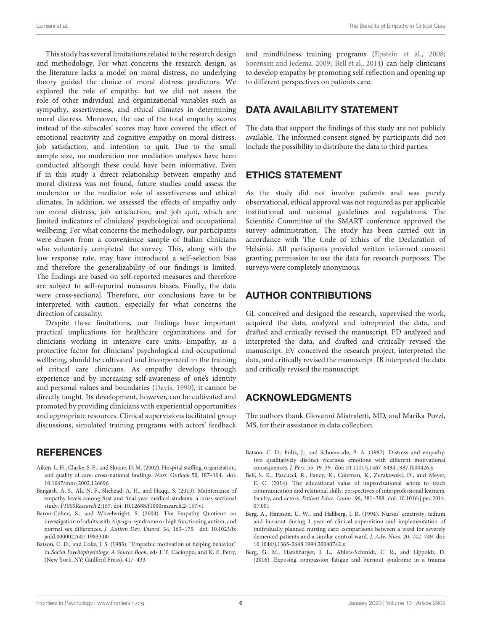This study has several limitations related to the research design and methodology. For what concerns the research design, as the literature lacks a model on moral distress, no underlying theory guided the choice of moral distress predictors. We explored the role of empathy, but we did not assess the role of other individual and organizational variables such as sympathy, assertiveness, and ethical climates in determining moral distress. Moreover, the use of the total empathy scores instead of the subscales' scores may have covered the effect of emotional reactivity and cognitive empathy on moral distress, job satisfaction, and intention to quit. Due to the small sample size, no moderation nor mediation analyses have been conducted although these could have been informative. Even if in this study a direct relationship between empathy and moral distress was not found, future studies could assess the moderator or the mediator role of assertiveness and ethical climates. In addition, we assessed the effects of empathy only on moral distress, job satisfaction, and job quit, which are limited indicators of clinicians' psychological and occupational wellbeing. For what concerns the methodology, our participants were drawn from a convenience sample of Italian clinicians who voluntarily completed the survey. This, along with the low response rate, may have introduced a self-selection bias and therefore the generalizability of our findings is limited. The findings are based on self-reported measures and therefore are subject to self-reported measures biases. Finally, the data were cross-sectional. Therefore, our conclusions have to be interpreted with caution, especially for what concerns the direction of causality.

Despite these limitations, our findings have important practical implications for healthcare organizations and for clinicians working in intensive care units. Empathy, as a protective factor for clinicians' psychological and occupational wellbeing, should be cultivated and incorporated in the training of critical care clinicians. As empathy develops through experience and by increasing self-awareness of one's identity and personal values and boundaries [\(Davis,](#page-6-40) [1990\)](#page-6-40), it cannot be directly taught. Its development, however, can be cultivated and promoted by providing clinicians with experiential opportunities and appropriate resources. Clinical supervisions facilitated group discussions, simulated training programs with actors' feedback

### **REFERENCES**

- <span id="page-5-4"></span>Aiken, L. H., Clarke, S. P., and Sloane, D. M. (2002). Hospital staffing, organization, and quality of care: cross-national findings. Nurs. Outlook 50, 187–194. [doi:](https://doi.org/10.1067/mno.2002.126696) [10.1067/mno.2002.126696](https://doi.org/10.1067/mno.2002.126696)
- <span id="page-5-3"></span>Bangash, A. S., Ali, N. F., Shehzad, A. H., and Haqqi, S. (2013). Maintenance of empathy levels among first and final year medical students: a cross sectional study. F1000Research 2:157. [doi: 10.12688/f1000research.2-157.v1](https://doi.org/10.12688/f1000research.2-157.v1)
- <span id="page-5-0"></span>Baron-Cohen, S., and Wheelwright, S. (2004). The Empathy Quotient: an investigation of adults with Asperger syndrome or high functioning autism, and normal sex differences. J. Autism Dev. Disord. 34, 163–175. [doi: 10.1023/b:](https://doi.org/10.1023/b:jadd.0000022607.19833.00) [jadd.0000022607.19833.00](https://doi.org/10.1023/b:jadd.0000022607.19833.00)
- <span id="page-5-1"></span>Batson, C. D., and Coke, J. S. (1983). "Empathic motivation of helping behavior," in Social Psychophysiology: A Source Book, eds J. T. Cacioppo, and K. E. Petty, (New York, NY: Guilford Press), 417–433.

and mindfulness training programs [\(Epstein et al.,](#page-6-41) [2008;](#page-6-41) [Sorensen and Iedema,](#page-7-16) [2009;](#page-7-16) [Bell et al.,](#page-5-7) [2014\)](#page-5-7) can help clinicians to develop empathy by promoting self-reflection and opening up to different perspectives on patients care.

## DATA AVAILABILITY STATEMENT

The data that support the findings of this study are not publicly available. The informed consent signed by participants did not include the possibility to distribute the data to third parties.

# ETHICS STATEMENT

As the study did not involve patients and was purely observational, ethical approval was not required as per applicable institutional and national guidelines and regulations. The Scientific Committee of the SMART conference approved the survey administration. The study has been carried out in accordance with The Code of Ethics of the Declaration of Helsinki. All participants provided written informed consent granting permission to use the data for research purposes. The surveys were completely anonymous.

# AUTHOR CONTRIBUTIONS

GL conceived and designed the research, supervised the work, acquired the data, analyzed and interpreted the data, and drafted and critically revised the manuscript. PD analyzed and interpreted the data, and drafted and critically revised the manuscript. EV conceived the research project, interpreted the data, and critically revised the manuscript. IB interpreted the data and critically revised the manuscript.

### ACKNOWLEDGMENTS

The authors thank Giovanni Mistraletti, MD, and Marika Pozzi, MS, for their assistance in data collection.

- <span id="page-5-6"></span>Batson, C. D., Fultz, J., and Schoenrade, P. A. (1987). Distress and empathy: two qualitatively distinct vicarious emotions with different motivational consequences. J. Pers. 55, 19–39. [doi: 10.1111/j.1467-6494.1987.tb00426.x](https://doi.org/10.1111/j.1467-6494.1987.tb00426.x)
- <span id="page-5-7"></span>Bell, S. K., Pascucci, R., Fancy, K., Coleman, K., Zurakowski, D., and Meyer, E. C. (2014). The educational value of improvisational actors to teach communication and relational skills: perspectives of interprofessional learners, faculty, and actors. Patient Educ. Couns. 96, 381–388. [doi: 10.1016/j.pec.2014.](https://doi.org/10.1016/j.pec.2014.07.001) [07.001](https://doi.org/10.1016/j.pec.2014.07.001)
- <span id="page-5-2"></span>Berg, A., Hansson, U. W., and Hallberg, I. R. (1994). Nurses' creativity, tedium and burnout during 1 year of clinical supervision and implementation of individually planned nursing care: comparisons between a ward for severely demented patients and a similar control ward. J. Adv. Nurs. 20, 742–749. [doi:](https://doi.org/10.1046/j.1365-2648.1994.20040742.x) [10.1046/j.1365-2648.1994.20040742.x](https://doi.org/10.1046/j.1365-2648.1994.20040742.x)
- <span id="page-5-5"></span>Berg, G. M., Harshbarger, J. L., Ahlers-Schmidt, C. R., and Lippoldt, D. (2016). Exposing compassion fatigue and burnout syndrome in a trauma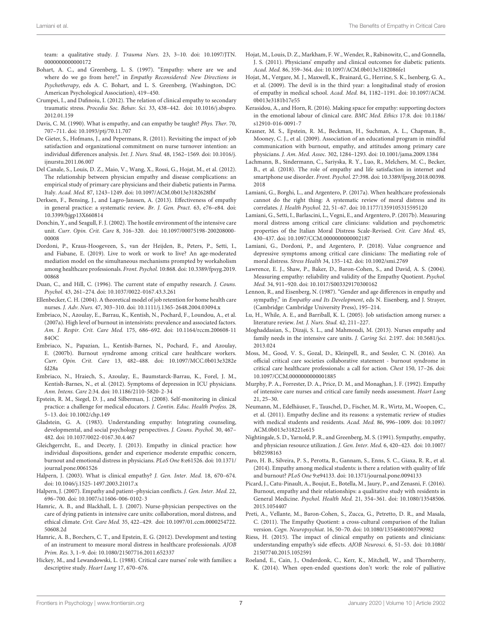team: a qualitative study. J. Trauma Nurs. 23, 3-10. [doi: 10.1097/JTN.](https://doi.org/10.1097/JTN.0000000000000172) [0000000000000172](https://doi.org/10.1097/JTN.0000000000000172)

- <span id="page-6-0"></span>Bohart, A. C., and Greenberg, L. S. (1997). "Empathy: where are we and where do we go from here?," in Empathy Reconsidered: New Directions in Psychotherapy, eds A. C. Bohart, and L. S. Greenberg, (Washington, DC: American Psychological Association), 419–450.
- <span id="page-6-38"></span>Crumpei, I., and Dafinoiu, I. (2012). The relation of clinical empathy to secondary traumatic stress. Procedia Soc. Behav. Sci. 33, 438–442. [doi: 10.1016/j.sbspro.](https://doi.org/10.1016/j.sbspro.2012.01.159) [2012.01.159](https://doi.org/10.1016/j.sbspro.2012.01.159)
- <span id="page-6-40"></span>Davis, C. M. (1990). What is empathy, and can empathy be taught? Phys. Ther. 70, 707–711. [doi: 10.1093/ptj/70.11.707](https://doi.org/10.1093/ptj/70.11.707)
- <span id="page-6-21"></span>De Gieter, S., Hofmans, J., and Pepermans, R. (2011). Revisiting the impact of job satisfaction and organizational commitment on nurse turnover intention: an individual differences analysis. Int. J. Nurs. Stud. 48, 1562–1569. [doi: 10.1016/j.](https://doi.org/10.1016/j.ijnurstu.2011.06.007) [ijnurstu.2011.06.007](https://doi.org/10.1016/j.ijnurstu.2011.06.007)
- <span id="page-6-5"></span>Del Canale, S., Louis, D. Z., Maio, V., Wang, X., Rossi, G., Hojat, M., et al. (2012). The relationship between physician empathy and disease complications: an empirical study of primary care physicians and their diabetic patients in Parma. Italy. Acad. Med. 87, 1243–1249. [doi: 10.1097/ACM.0b013e3182628fbf](https://doi.org/10.1097/ACM.0b013e3182628fbf)
- <span id="page-6-6"></span>Derksen, F., Bensing, J., and Lagro-Janssen, A. (2013). Effectiveness of empathy in general practice: a systematic review. Br. J. Gen. Pract. 63, e76–e84. [doi:](https://doi.org/10.3399/bjgp13X660814) [10.3399/bjgp13X660814](https://doi.org/10.3399/bjgp13X660814)
- <span id="page-6-30"></span>Donchin, Y., and Seagull, F. J. (2002). The hostile environment of the intensive care unit. Curr. Opin. Crit. Care 8, 316–320. [doi: 10.1097/00075198-200208000-](https://doi.org/10.1097/00075198-200208000-00008) [00008](https://doi.org/10.1097/00075198-200208000-00008)
- <span id="page-6-28"></span>Dordoni, P., Kraus-Hoogeveen, S., van der Heijden, B., Peters, P., Setti, I., and Fiabane, E. (2019). Live to work or work to live? An age-moderated mediation model on the simultaneous mechanisms prompted by workaholism among healthcare professionals. Front. Psychol. 10:868. [doi: 10.3389/fpsyg.2019.](https://doi.org/10.3389/fpsyg.2019.00868) [00868](https://doi.org/10.3389/fpsyg.2019.00868)
- <span id="page-6-2"></span>Duan, C., and Hill, C. (1996). The current state of empathy research. J. Couns. Psychol. 43, 261–274. [doi: 10.1037/0022-0167.43.3.261](https://doi.org/10.1037/0022-0167.43.3.261)
- <span id="page-6-20"></span>Ellenbecker, C. H. (2004). A theoretical model of job retention for home health care nurses. J. Adv. Nurs. 47, 303–310. [doi: 10.1111/j.1365-2648.2004.03094.x](https://doi.org/10.1111/j.1365-2648.2004.03094.x)
- <span id="page-6-31"></span>Embriaco, N., Azoulay, E., Barrau, K., Kentish, N., Pochard, F., Loundou, A., et al. (2007a). High level of burnout in intensivists: prevalence and associated factors. Am. J. Respir. Crit. Care Med. 175, 686–692. [doi: 10.1164/rccm.200608-11](https://doi.org/10.1164/rccm.200608-1184OC) [84OC](https://doi.org/10.1164/rccm.200608-1184OC)
- <span id="page-6-32"></span>Embriaco, N., Papazian, L., Kentish-Barnes, N., Pochard, F., and Azoulay, E. (2007b). Burnout syndrome among critical care healthcare workers. Curr. Opin. Crit. Care 13, 482–488. [doi: 10.1097/MCC.0b013e3282e](https://doi.org/10.1097/MCC.0b013e3282efd28a) [fd28a](https://doi.org/10.1097/MCC.0b013e3282efd28a)
- <span id="page-6-33"></span>Embriaco, N., Hraiech, S., Azoulay, E., Baumstarck-Barrau, K., Forel, J. M., Kentish-Barnes, N., et al. (2012). Symptoms of depression in ICU physicians. Ann. Intens. Care 2:34. [doi: 10.1186/2110-5820-2-34](https://doi.org/10.1186/2110-5820-2-34)
- <span id="page-6-41"></span>Epstein, R. M., Siegel, D. J., and Silberman, J. (2008). Self-monitoring in clinical practice: a challenge for medical educators. J. Contin. Educ. Health Profess. 28, 5–13. [doi: 10.1002/chp.149](https://doi.org/10.1002/chp.149)
- <span id="page-6-1"></span>Gladstein, G. A. (1983). Understanding empathy: Integrating counseling, developmental, and social psychology perspectives. J. Couns. Psychol. 30, 467– 482. [doi: 10.1037/0022-0167.30.4.467](https://doi.org/10.1037/0022-0167.30.4.467)
- <span id="page-6-11"></span>Gleichgerrcht, E., and Decety, J. (2013). Empathy in clinical practice: how individual dispositions, gender and experience moderate empathic concern, burnout and emotional distress in physicians. PLoS One 8:e61526. [doi: 10.1371/](https://doi.org/10.1371/journal.pone.0061526) [journal.pone.0061526](https://doi.org/10.1371/journal.pone.0061526)
- <span id="page-6-9"></span>Halpern, J. (2003). What is clinical empathy? J. Gen. Inter. Med. 18, 670–674. [doi: 10.1046/j.1525-1497.2003.21017.x](https://doi.org/10.1046/j.1525-1497.2003.21017.x)
- <span id="page-6-36"></span>Halpern, J. (2007). Empathy and patient–physician conflicts. J. Gen. Inter. Med. 22, 696–700. [doi: 10.1007/s11606-006-0102-3](https://doi.org/10.1007/s11606-006-0102-3)
- <span id="page-6-29"></span>Hamric, A. B., and Blackhall, L. J. (2007). Nurse-physician perspectives on the care of dying patients in intensive care units: collaboration, moral distress, and ethical climate. Crit. Care Med. 35, 422–429. [doi: 10.1097/01.ccm.0000254722.](https://doi.org/10.1097/01.ccm.0000254722.50608.2d) [50608.2d](https://doi.org/10.1097/01.ccm.0000254722.50608.2d)
- <span id="page-6-26"></span>Hamric, A. B., Borchers, C. T., and Epstein, E. G. (2012). Development and testing of an instrument to measure moral distress in healthcare professionals. AJOB Prim. Res. 3, 1–9. [doi: 10.1080/21507716.2011.652337](https://doi.org/10.1080/21507716.2011.652337)
- <span id="page-6-17"></span>Hickey, M., and Lewandowski, L. (1988). Critical care nurses' role with families: a descriptive study. Heart Lung 17, 670–676.
- <span id="page-6-4"></span>Hojat, M., Louis, D. Z., Markham, F. W., Wender, R., Rabinowitz, C., and Gonnella, J. S. (2011). Physicians' empathy and clinical outcomes for diabetic patients. Acad. Med. 86, 359–364. [doi: 10.1097/ACM.0b013e3182086fe1](https://doi.org/10.1097/ACM.0b013e3182086fe1)
- <span id="page-6-13"></span>Hojat, M., Vergare, M. J., Maxwell, K., Brainard, G., Herrine, S. K., Isenberg, G. A., et al. (2009). The devil is in the third year: a longitudinal study of erosion of empathy in medical school. Acad. Med. 84, 1182–1191. [doi: 10.1097/ACM.](https://doi.org/10.1097/ACM.0b013e3181b17e55) [0b013e3181b17e55](https://doi.org/10.1097/ACM.0b013e3181b17e55)
- <span id="page-6-35"></span>Kerasidou, A., and Horn, R. (2016). Making space for empathy: supporting doctors in the emotional labour of clinical care. BMC Med. Ethics 17:8. [doi: 10.1186/](https://doi.org/10.1186/s12910-016-0091-7) [s12910-016-0091-7](https://doi.org/10.1186/s12910-016-0091-7)
- <span id="page-6-10"></span>Krasner, M. S., Epstein, R. M., Beckman, H., Suchman, A. L., Chapman, B., Mooney, C. J., et al. (2009). Association of an educational program in mindful communication with burnout, empathy, and attitudes among primary care physicians. J. Am. Med. Assoc. 302, 1284–1293. [doi: 10.1001/jama.2009.1384](https://doi.org/10.1001/jama.2009.1384)
- <span id="page-6-25"></span>Lachmann, B., Sindermann, C., Sariyska, R. Y., Luo, R., Melchers, M. C., Becker, B., et al. (2018). The role of empathy and life satisfaction in internet and smartphone use disorder. Front. Psychol. 27:398. [doi: 10.3389/fpsyg.2018.00398.](https://doi.org/10.3389/fpsyg.2018.00398.2018) [2018](https://doi.org/10.3389/fpsyg.2018.00398.2018)
- <span id="page-6-18"></span>Lamiani, G., Borghi, L., and Argentero, P. (2017a). When healthcare professionals cannot do the right thing: A systematic review of moral distress and its correlates. J. Health Psychol. 22, 51–67. [doi: 10.1177/1359105315595120](https://doi.org/10.1177/1359105315595120)
- <span id="page-6-27"></span>Lamiani, G., Setti, I., Barlascini, L., Vegni, E., and Argentero, P. (2017b). Measuring moral distress among critical care clinicians: validation and psychometric properties of the Italian Moral Distress Scale-Revised. Crit. Care Med. 45, 430–437. [doi: 10.1097/CCM.0000000000002187](https://doi.org/10.1097/CCM.0000000000002187)
- <span id="page-6-19"></span>Lamiani, G., Dordoni, P., and Argentero, P. (2018). Value congruence and depressive symptoms among critical care clinicians: The mediating role of moral distress. Stress Health 34, 135–142. [doi: 10.1002/smi.2769](https://doi.org/10.1002/smi.2769)
- <span id="page-6-24"></span>Lawrence, E. J., Shaw, P., Baker, D., Baron-Cohen, S., and David, A. S. (2004). Measuring empathy: reliability and validity of the Empathy Quotient. Psychol. Med. 34, 911–920. [doi: 10.1017/S003329170300162](https://doi.org/10.1017/S003329170300162)
- <span id="page-6-3"></span>Lennon, R., and Eisenberg, N. (1987). "Gender and age differences in empathy and sympathy," in Empathy and Its Development, eds N. Eisenberg, and J. Strayer, (Cambridge: Cambridge University Press), 195–214.
- <span id="page-6-22"></span>Lu, H., While, A. E., and Barriball, K. L. (2005). Job satisfaction among nurses: a literature review. Int. J. Nurs. Stud. 42, 211–227.
- <span id="page-6-8"></span>Moghaddasian, S., Dizaji, S. L., and Mahmoudi, M. (2013). Nurses empathy and family needs in the intensive care units. J. Caring Sci. 2:197. [doi: 10.5681/jcs.](https://doi.org/10.5681/jcs.2013.024) [2013.024](https://doi.org/10.5681/jcs.2013.024)
- <span id="page-6-34"></span>Moss, M., Good, V. S., Gozal, D., Kleinpell, R., and Sessler, C. N. (2016). An official critical care societies collaborative statement - burnout syndrome in critical care healthcare professionals: a call for action. Chest 150, 17–26. [doi:](https://doi.org/10.1097/CCM.0000000000001885) [10.1097/CCM.0000000000001885](https://doi.org/10.1097/CCM.0000000000001885)
- <span id="page-6-7"></span>Murphy, P. A., Forrester, D. A., Price, D. M., and Monaghan, J. F. (1992). Empathy of intensive care nurses and critical care family needs assessment. Heart Lung 21, 25–30.
- <span id="page-6-14"></span>Neumann, M., Edelhäuser, F., Tauschel, D., Fischer, M. R., Wirtz, M., Woopen, C., et al. (2011). Empathy decline and its reasons: a systematic review of studies with medical students and residents. Acad. Med. 86, 996–1009. [doi: 10.1097/](https://doi.org/10.1097/ACM.0b013e318221e615) [ACM.0b013e318221e615](https://doi.org/10.1097/ACM.0b013e318221e615)
- <span id="page-6-39"></span>Nightingale, S. D., Yarnold, P. R., and Greenberg, M. S. (1991). Sympathy, empathy, and physician resource utilization. J. Gen. Inter. Med. 6, 420–423. [doi: 10.1007/](https://doi.org/10.1007/bf02598163) [bf02598163](https://doi.org/10.1007/bf02598163)
- <span id="page-6-12"></span>Paro, H. B., Silveira, P. S., Perotta, B., Gannam, S., Enns, S. C., Giaxa, R. R., et al. (2014). Empathy among medical students: is there a relation with quality of life and burnout? PLoS One 9:e94133. [doi: 10.1371/journal.pone.0094133](https://doi.org/10.1371/journal.pone.0094133)
- <span id="page-6-16"></span>Picard, J., Catu-Pinault, A., Boujut, E., Botella, M., Jaury, P., and Zenasni, F. (2016). Burnout, empathy and their relationships: a qualitative study with residents in General Medicine. Psychol. Health Med. 21, 354–361. [doi: 10.1080/13548506.](https://doi.org/10.1080/13548506.2015.1054407) [2015.1054407](https://doi.org/10.1080/13548506.2015.1054407)
- <span id="page-6-23"></span>Preti, A., Vellante, M., Baron-Cohen, S., Zucca, G., Petretto, D. R., and Masala, C. (2011). The Empathy Quotient: a cross-cultural comparison of the Italian version. Cogn. Neuropsychiat. 16, 50–70. [doi: 10.1080/13546801003790982](https://doi.org/10.1080/13546801003790982)
- <span id="page-6-15"></span>Riess, H. (2015). The impact of clinical empathy on patients and clinicians: understanding empathy's side effects. AJOB Neurosci. 6, 51–53. [doi: 10.1080/](https://doi.org/10.1080/21507740.2015.1052591) [21507740.2015.1052591](https://doi.org/10.1080/21507740.2015.1052591)
- <span id="page-6-37"></span>Roeland, E., Cain, J., Onderdonk, C., Kerr, K., Mitchell, W., and Thornberry, K. (2014). When open-ended questions don't work: the role of palliative